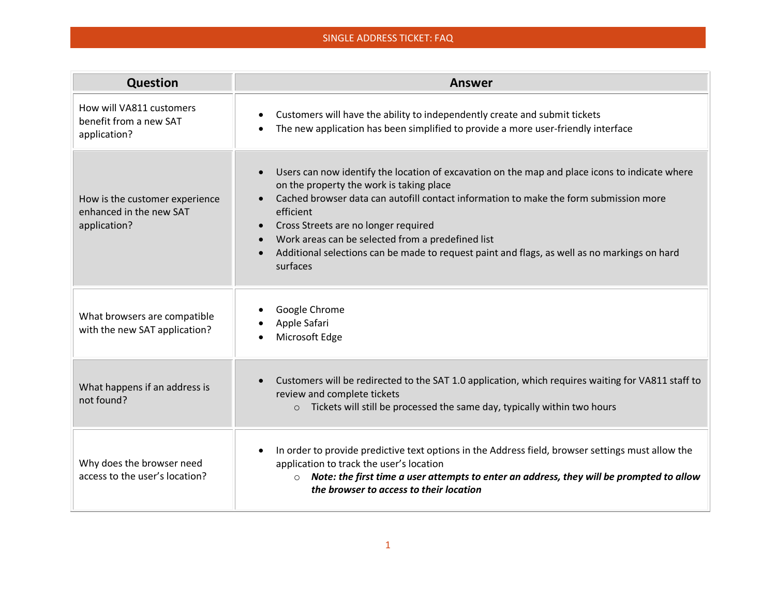## SINGLE ADDRESS TICKET: FAQ

| Question                                                                  | <b>Answer</b>                                                                                                                                                                                                                                                                                                                                                                                                                                             |
|---------------------------------------------------------------------------|-----------------------------------------------------------------------------------------------------------------------------------------------------------------------------------------------------------------------------------------------------------------------------------------------------------------------------------------------------------------------------------------------------------------------------------------------------------|
| How will VA811 customers<br>benefit from a new SAT<br>application?        | Customers will have the ability to independently create and submit tickets<br>The new application has been simplified to provide a more user-friendly interface                                                                                                                                                                                                                                                                                           |
| How is the customer experience<br>enhanced in the new SAT<br>application? | Users can now identify the location of excavation on the map and place icons to indicate where<br>on the property the work is taking place<br>Cached browser data can autofill contact information to make the form submission more<br>efficient<br>Cross Streets are no longer required<br>Work areas can be selected from a predefined list<br>Additional selections can be made to request paint and flags, as well as no markings on hard<br>surfaces |
| What browsers are compatible<br>with the new SAT application?             | Google Chrome<br>Apple Safari<br>Microsoft Edge                                                                                                                                                                                                                                                                                                                                                                                                           |
| What happens if an address is<br>not found?                               | Customers will be redirected to the SAT 1.0 application, which requires waiting for VA811 staff to<br>review and complete tickets<br>Tickets will still be processed the same day, typically within two hours<br>$\circ$                                                                                                                                                                                                                                  |
| Why does the browser need<br>access to the user's location?               | In order to provide predictive text options in the Address field, browser settings must allow the<br>application to track the user's location<br>$\circ$ Note: the first time a user attempts to enter an address, they will be prompted to allow<br>the browser to access to their location                                                                                                                                                              |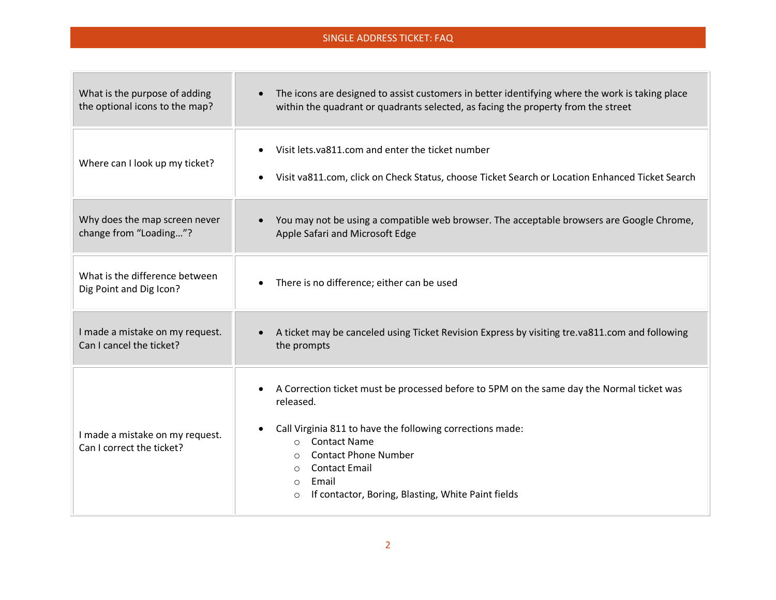## SINGLE ADDRESS TICKET: FAQ

п

| What is the purpose of adding                                | The icons are designed to assist customers in better identifying where the work is taking place                                                                                                                                                                                                                                                                          |
|--------------------------------------------------------------|--------------------------------------------------------------------------------------------------------------------------------------------------------------------------------------------------------------------------------------------------------------------------------------------------------------------------------------------------------------------------|
| the optional icons to the map?                               | within the quadrant or quadrants selected, as facing the property from the street                                                                                                                                                                                                                                                                                        |
| Where can I look up my ticket?                               | Visit lets.va811.com and enter the ticket number<br>Visit va811.com, click on Check Status, choose Ticket Search or Location Enhanced Ticket Search                                                                                                                                                                                                                      |
| Why does the map screen never                                | You may not be using a compatible web browser. The acceptable browsers are Google Chrome,                                                                                                                                                                                                                                                                                |
| change from "Loading"?                                       | Apple Safari and Microsoft Edge                                                                                                                                                                                                                                                                                                                                          |
| What is the difference between<br>Dig Point and Dig Icon?    | There is no difference; either can be used                                                                                                                                                                                                                                                                                                                               |
| I made a mistake on my request.                              | A ticket may be canceled using Ticket Revision Express by visiting tre.va811.com and following                                                                                                                                                                                                                                                                           |
| Can I cancel the ticket?                                     | the prompts                                                                                                                                                                                                                                                                                                                                                              |
| I made a mistake on my request.<br>Can I correct the ticket? | A Correction ticket must be processed before to 5PM on the same day the Normal ticket was<br>released.<br>Call Virginia 811 to have the following corrections made:<br><b>Contact Name</b><br>$\circ$<br><b>Contact Phone Number</b><br>$\circ$<br><b>Contact Email</b><br>$\Omega$<br>Email<br>$\circ$<br>If contactor, Boring, Blasting, White Paint fields<br>$\circ$ |